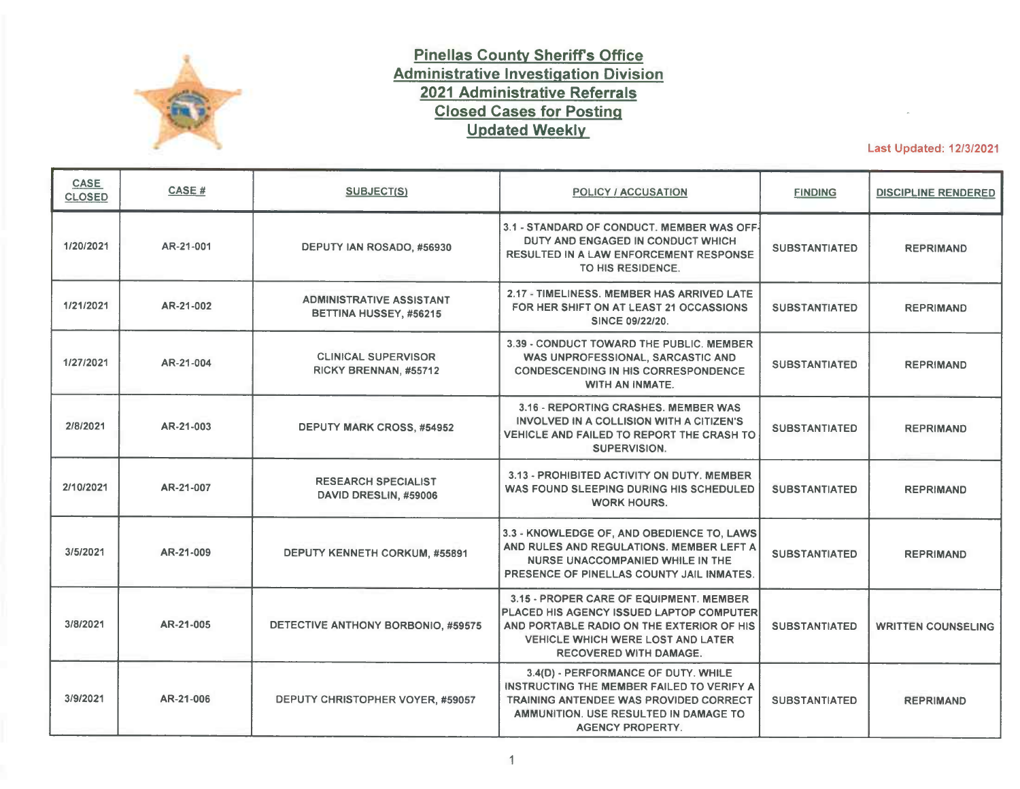

## **Pinellas County Sheriffs Office Administrative Investigation Division 2021 Administrative Referrals Closed Cases for Posting Updated Weekly**

Last Updated: 12/3/2021

| CASE<br><b>CLOSED</b> | <b>CASE#</b> | <b>SUBJECT(S)</b>                                         | POLICY / ACCUSATION                                                                                                                                                                                           | <b>FINDING</b>       | <b>DISCIPLINE RENDERED</b> |
|-----------------------|--------------|-----------------------------------------------------------|---------------------------------------------------------------------------------------------------------------------------------------------------------------------------------------------------------------|----------------------|----------------------------|
| 1/20/2021             | AR-21-001    | DEPUTY IAN ROSADO, #56930                                 | 3.1 - STANDARD OF CONDUCT. MEMBER WAS OFF-<br>DUTY AND ENGAGED IN CONDUCT WHICH<br><b>RESULTED IN A LAW ENFORCEMENT RESPONSE</b><br>TO HIS RESIDENCE.                                                         | <b>SUBSTANTIATED</b> | <b>REPRIMAND</b>           |
| 1/21/2021             | AR-21-002    | <b>ADMINISTRATIVE ASSISTANT</b><br>BETTINA HUSSEY, #56215 | 2.17 - TIMELINESS, MEMBER HAS ARRIVED LATE<br>FOR HER SHIFT ON AT LEAST 21 OCCASSIONS<br>SINCE 09/22/20.                                                                                                      | <b>SUBSTANTIATED</b> | <b>REPRIMAND</b>           |
| 1/27/2021             | AR-21-004    | <b>CLINICAL SUPERVISOR</b><br>RICKY BRENNAN, #55712       | 3.39 - CONDUCT TOWARD THE PUBLIC. MEMBER<br>WAS UNPROFESSIONAL, SARCASTIC AND<br><b>CONDESCENDING IN HIS CORRESPONDENCE</b><br><b>WITH AN INMATE.</b>                                                         | <b>SUBSTANTIATED</b> | <b>REPRIMAND</b>           |
| 2/8/2021              | AR-21-003    | <b>DEPUTY MARK CROSS, #54952</b>                          | 3.16 - REPORTING CRASHES, MEMBER WAS<br>INVOLVED IN A COLLISION WITH A CITIZEN'S<br>VEHICLE AND FAILED TO REPORT THE CRASH TO<br><b>SUPERVISION.</b>                                                          | <b>SUBSTANTIATED</b> | <b>REPRIMAND</b>           |
| 2/10/2021             | AR-21-007    | <b>RESEARCH SPECIALIST</b><br>DAVID DRESLIN, #59006       | 3.13 - PROHIBITED ACTIVITY ON DUTY, MEMBER<br>WAS FOUND SLEEPING DURING HIS SCHEDULED<br><b>WORK HOURS.</b>                                                                                                   | <b>SUBSTANTIATED</b> | <b>REPRIMAND</b>           |
| 3/5/2021              | AR-21-009    | DEPUTY KENNETH CORKUM, #55891                             | 3.3 - KNOWLEDGE OF, AND OBEDIENCE TO, LAWS<br>AND RULES AND REGULATIONS. MEMBER LEFT A<br>NURSE UNACCOMPANIED WHILE IN THE<br>PRESENCE OF PINELLAS COUNTY JAIL INMATES.                                       | <b>SUBSTANTIATED</b> | <b>REPRIMAND</b>           |
| 3/8/2021              | AR-21-005    | DETECTIVE ANTHONY BORBONIO, #59575                        | 3.15 - PROPER CARE OF EQUIPMENT. MEMBER<br>PLACED HIS AGENCY ISSUED LAPTOP COMPUTER<br>AND PORTABLE RADIO ON THE EXTERIOR OF HIS<br><b>VEHICLE WHICH WERE LOST AND LATER</b><br><b>RECOVERED WITH DAMAGE.</b> | <b>SUBSTANTIATED</b> | <b>WRITTEN COUNSELING</b>  |
| 3/9/2021              | AR-21-006    | DEPUTY CHRISTOPHER VOYER, #59057                          | 3.4(D) - PERFORMANCE OF DUTY. WHILE<br>INSTRUCTING THE MEMBER FAILED TO VERIFY A<br>TRAINING ANTENDEE WAS PROVIDED CORRECT<br>AMMUNITION, USE RESULTED IN DAMAGE TO<br><b>AGENCY PROPERTY.</b>                | <b>SUBSTANTIATED</b> | <b>REPRIMAND</b>           |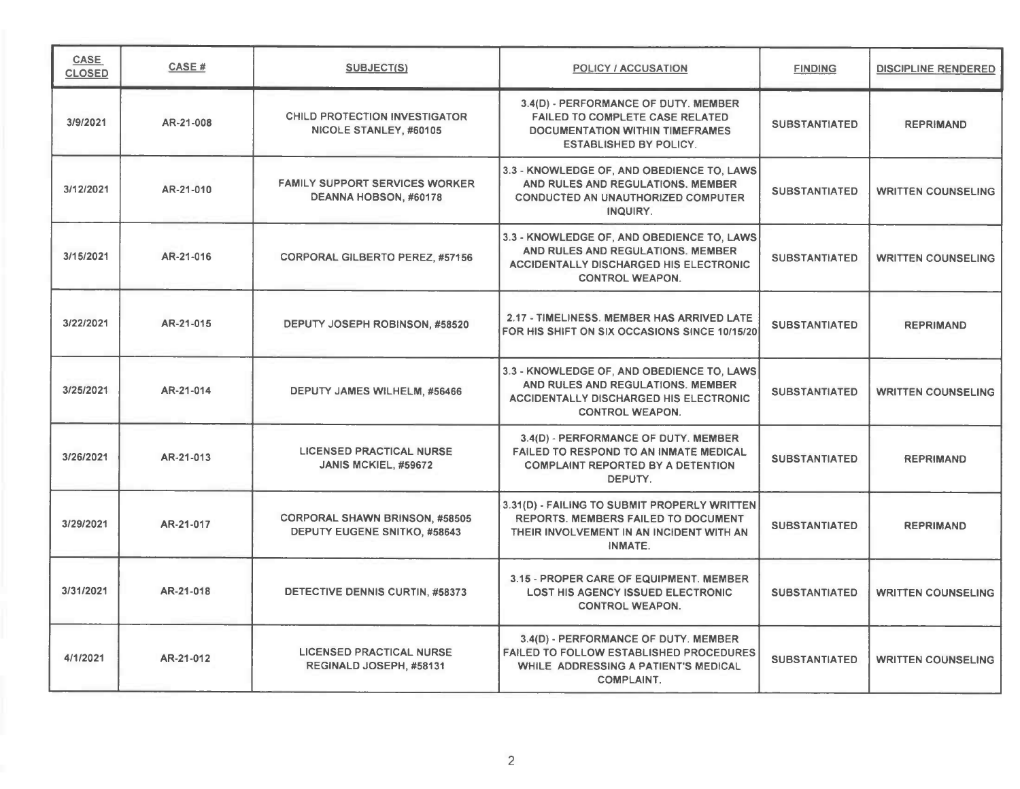| <b>CASE</b><br><b>CLOSED</b> | CASE#     | SUBJECT(S)                                                                   | <b>POLICY / ACCUSATION</b>                                                                                                                                 | <b>FINDING</b>       | <b>DISCIPLINE RENDERED</b> |
|------------------------------|-----------|------------------------------------------------------------------------------|------------------------------------------------------------------------------------------------------------------------------------------------------------|----------------------|----------------------------|
| 3/9/2021                     | AR-21-008 | <b>CHILD PROTECTION INVESTIGATOR</b><br>NICOLE STANLEY, #60105               | 3.4(D) - PERFORMANCE OF DUTY. MEMBER<br><b>FAILED TO COMPLETE CASE RELATED</b><br><b>DOCUMENTATION WITHIN TIMEFRAMES</b><br><b>ESTABLISHED BY POLICY.</b>  | <b>SUBSTANTIATED</b> | <b>REPRIMAND</b>           |
| 3/12/2021                    | AR-21-010 | <b>FAMILY SUPPORT SERVICES WORKER</b><br>DEANNA HOBSON, #60178               | 3.3 - KNOWLEDGE OF, AND OBEDIENCE TO, LAWS<br>AND RULES AND REGULATIONS. MEMBER<br><b>CONDUCTED AN UNAUTHORIZED COMPUTER</b><br>INQUIRY.                   | <b>SUBSTANTIATED</b> | <b>WRITTEN COUNSELING</b>  |
| 3/15/2021                    | AR-21-016 | <b>CORPORAL GILBERTO PEREZ, #57156</b>                                       | 3.3 - KNOWLEDGE OF, AND OBEDIENCE TO, LAWS<br>AND RULES AND REGULATIONS, MEMBER<br><b>ACCIDENTALLY DISCHARGED HIS ELECTRONIC</b><br><b>CONTROL WEAPON.</b> | <b>SUBSTANTIATED</b> | <b>WRITTEN COUNSELING</b>  |
| 3/22/2021                    | AR-21-015 | DEPUTY JOSEPH ROBINSON, #58520                                               | 2.17 - TIMELINESS. MEMBER HAS ARRIVED LATE<br>FOR HIS SHIFT ON SIX OCCASIONS SINCE 10/15/20                                                                | <b>SUBSTANTIATED</b> | <b>REPRIMAND</b>           |
| 3/25/2021                    | AR-21-014 | DEPUTY JAMES WILHELM, #56466                                                 | 3.3 - KNOWLEDGE OF, AND OBEDIENCE TO, LAWS<br>AND RULES AND REGULATIONS. MEMBER<br><b>ACCIDENTALLY DISCHARGED HIS ELECTRONIC</b><br><b>CONTROL WEAPON.</b> | <b>SUBSTANTIATED</b> | <b>WRITTEN COUNSELING</b>  |
| 3/26/2021                    | AR-21-013 | <b>LICENSED PRACTICAL NURSE</b><br>JANIS MCKIEL, #59672                      | 3.4(D) - PERFORMANCE OF DUTY. MEMBER<br><b>FAILED TO RESPOND TO AN INMATE MEDICAL</b><br><b>COMPLAINT REPORTED BY A DETENTION</b><br>DEPUTY.               | <b>SUBSTANTIATED</b> | <b>REPRIMAND</b>           |
| 3/29/2021                    | AR-21-017 | <b>CORPORAL SHAWN BRINSON, #58505</b><br><b>DEPUTY EUGENE SNITKO, #58643</b> | 3.31(D) - FAILING TO SUBMIT PROPERLY WRITTEN<br>REPORTS. MEMBERS FAILED TO DOCUMENT<br>THEIR INVOLVEMENT IN AN INCIDENT WITH AN<br>INMATE.                 | <b>SUBSTANTIATED</b> | <b>REPRIMAND</b>           |
| 3/31/2021                    | AR-21-018 | <b>DETECTIVE DENNIS CURTIN, #58373</b>                                       | 3.15 - PROPER CARE OF EQUIPMENT. MEMBER<br><b>LOST HIS AGENCY ISSUED ELECTRONIC</b><br><b>CONTROL WEAPON.</b>                                              | <b>SUBSTANTIATED</b> | <b>WRITTEN COUNSELING</b>  |
| 4/1/2021                     | AR-21-012 | <b>LICENSED PRACTICAL NURSE</b><br>REGINALD JOSEPH, #58131                   | 3.4(D) - PERFORMANCE OF DUTY. MEMBER<br><b>FAILED TO FOLLOW ESTABLISHED PROCEDURES</b><br>WHILE ADDRESSING A PATIENT'S MEDICAL<br><b>COMPLAINT.</b>        | <b>SUBSTANTIATED</b> | <b>WRITTEN COUNSELING</b>  |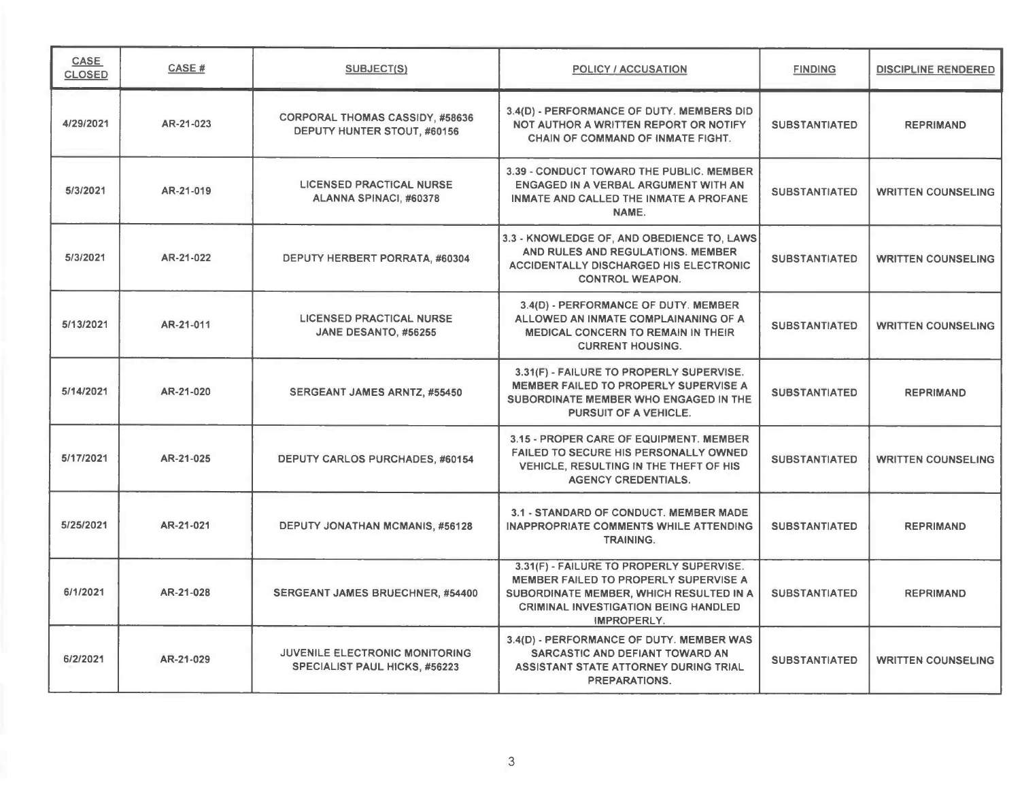| <b>CASE</b><br><b>CLOSED</b> | <b>CASE#</b> | <b>SUBJECT(S)</b>                                                             | <b>POLICY / ACCUSATION</b>                                                                                                                                                                 | <b>FINDING</b>       | <b>DISCIPLINE RENDERED</b> |
|------------------------------|--------------|-------------------------------------------------------------------------------|--------------------------------------------------------------------------------------------------------------------------------------------------------------------------------------------|----------------------|----------------------------|
| 4/29/2021                    | AR-21-023    | <b>CORPORAL THOMAS CASSIDY, #58636</b><br>DEPUTY HUNTER STOUT, #60156         | 3.4(D) - PERFORMANCE OF DUTY. MEMBERS DID<br>NOT AUTHOR A WRITTEN REPORT OR NOTIFY<br><b>CHAIN OF COMMAND OF INMATE FIGHT.</b>                                                             | <b>SUBSTANTIATED</b> | <b>REPRIMAND</b>           |
| 5/3/2021                     | AR-21-019    | <b>LICENSED PRACTICAL NURSE</b><br>ALANNA SPINACI, #60378                     | 3.39 - CONDUCT TOWARD THE PUBLIC, MEMBER<br>ENGAGED IN A VERBAL ARGUMENT WITH AN<br>INMATE AND CALLED THE INMATE A PROFANE<br>NAME.                                                        | <b>SUBSTANTIATED</b> | <b>WRITTEN COUNSELING</b>  |
| 5/3/2021                     | AR-21-022    | DEPUTY HERBERT PORRATA, #60304                                                | 3.3 - KNOWLEDGE OF, AND OBEDIENCE TO, LAWS<br>AND RULES AND REGULATIONS. MEMBER<br><b>ACCIDENTALLY DISCHARGED HIS ELECTRONIC</b><br><b>CONTROL WEAPON.</b>                                 | <b>SUBSTANTIATED</b> | <b>WRITTEN COUNSELING</b>  |
| 5/13/2021                    | AR-21-011    | <b>LICENSED PRACTICAL NURSE</b><br>JANE DESANTO, #56255                       | 3.4(D) - PERFORMANCE OF DUTY. MEMBER<br>ALLOWED AN INMATE COMPLAINANING OF A<br><b>MEDICAL CONCERN TO REMAIN IN THEIR</b><br><b>CURRENT HOUSING.</b>                                       | <b>SUBSTANTIATED</b> | <b>WRITTEN COUNSELING</b>  |
| 5/14/2021                    | AR-21-020    | SERGEANT JAMES ARNTZ, #55450                                                  | 3.31(F) - FAILURE TO PROPERLY SUPERVISE.<br>MEMBER FAILED TO PROPERLY SUPERVISE A<br>SUBORDINATE MEMBER WHO ENGAGED IN THE<br>PURSUIT OF A VEHICLE.                                        | <b>SUBSTANTIATED</b> | <b>REPRIMAND</b>           |
| 5/17/2021                    | AR-21-025    | DEPUTY CARLOS PURCHADES, #60154                                               | 3.15 - PROPER CARE OF EQUIPMENT. MEMBER<br><b>FAILED TO SECURE HIS PERSONALLY OWNED</b><br>VEHICLE, RESULTING IN THE THEFT OF HIS<br><b>AGENCY CREDENTIALS.</b>                            | <b>SUBSTANTIATED</b> | <b>WRITTEN COUNSELING</b>  |
| 5/25/2021                    | AR-21-021    | <b>DEPUTY JONATHAN MCMANIS, #56128</b>                                        | 3.1 - STANDARD OF CONDUCT. MEMBER MADE<br><b>INAPPROPRIATE COMMENTS WHILE ATTENDING</b><br><b>TRAINING.</b>                                                                                | <b>SUBSTANTIATED</b> | <b>REPRIMAND</b>           |
| 6/1/2021                     | AR-21-028    | SERGEANT JAMES BRUECHNER, #54400                                              | 3.31(F) - FAILURE TO PROPERLY SUPERVISE.<br>MEMBER FAILED TO PROPERLY SUPERVISE A<br>SUBORDINATE MEMBER, WHICH RESULTED IN A<br><b>CRIMINAL INVESTIGATION BEING HANDLED</b><br>IMPROPERLY. | <b>SUBSTANTIATED</b> | <b>REPRIMAND</b>           |
| 6/2/2021                     | AR-21-029    | <b>JUVENILE ELECTRONIC MONITORING</b><br><b>SPECIALIST PAUL HICKS, #56223</b> | 3.4(D) - PERFORMANCE OF DUTY. MEMBER WAS<br>SARCASTIC AND DEFIANT TOWARD AN<br>ASSISTANT STATE ATTORNEY DURING TRIAL<br>PREPARATIONS.                                                      | <b>SUBSTANTIATED</b> | <b>WRITTEN COUNSELING</b>  |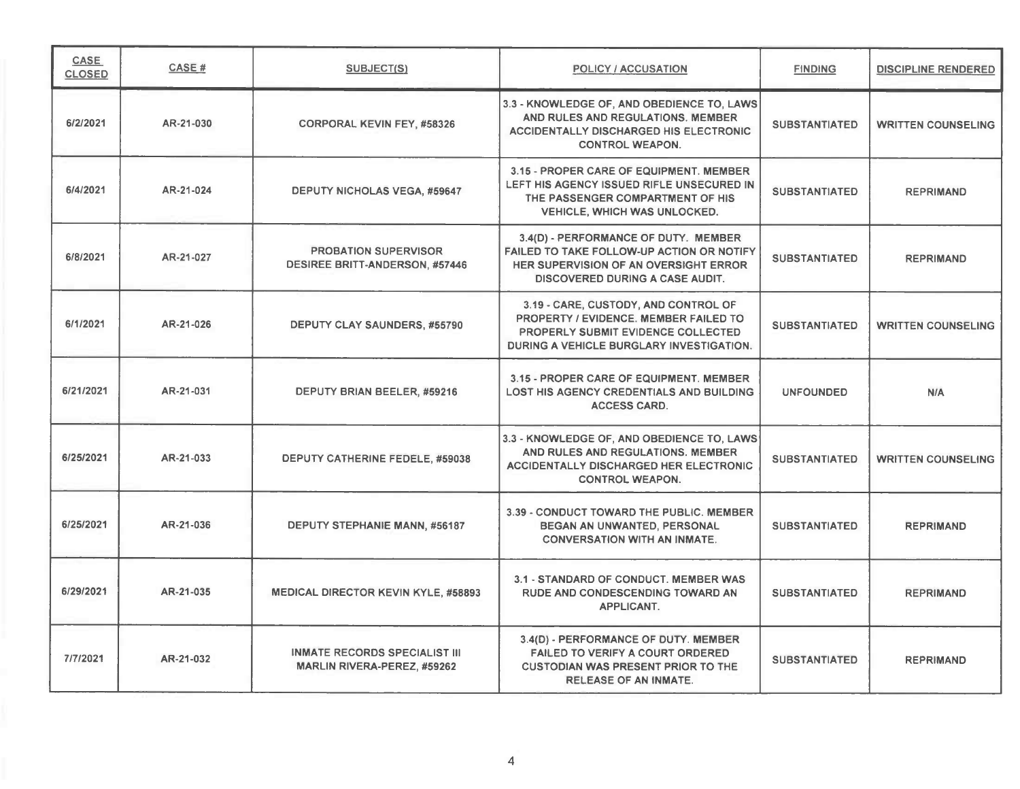| <b>CASE</b><br><b>CLOSED</b> | <b>CASE#</b> | SUBJECT(S)                                                                 | <b>POLICY / ACCUSATION</b>                                                                                                                                             | <b>FINDING</b>       | <b>DISCIPLINE RENDERED</b> |
|------------------------------|--------------|----------------------------------------------------------------------------|------------------------------------------------------------------------------------------------------------------------------------------------------------------------|----------------------|----------------------------|
| 6/2/2021                     | AR-21-030    | <b>CORPORAL KEVIN FEY, #58326</b>                                          | 3.3 - KNOWLEDGE OF, AND OBEDIENCE TO, LAWS<br>AND RULES AND REGULATIONS. MEMBER<br>ACCIDENTALLY DISCHARGED HIS ELECTRONIC<br><b>CONTROL WEAPON.</b>                    | <b>SUBSTANTIATED</b> | <b>WRITTEN COUNSELING</b>  |
| 6/4/2021                     | AR-21-024    | <b>DEPUTY NICHOLAS VEGA, #59647</b>                                        | 3.15 - PROPER CARE OF EQUIPMENT. MEMBER<br>LEFT HIS AGENCY ISSUED RIFLE UNSECURED IN<br>THE PASSENGER COMPARTMENT OF HIS<br><b>VEHICLE, WHICH WAS UNLOCKED.</b>        | <b>SUBSTANTIATED</b> | <b>REPRIMAND</b>           |
| 6/8/2021                     | AR-21-027    | <b>PROBATION SUPERVISOR</b><br><b>DESIREE BRITT-ANDERSON, #57446</b>       | 3.4(D) - PERFORMANCE OF DUTY. MEMBER<br>FAILED TO TAKE FOLLOW-UP ACTION OR NOTIFY<br>HER SUPERVISION OF AN OVERSIGHT ERROR<br><b>DISCOVERED DURING A CASE AUDIT.</b>   | <b>SUBSTANTIATED</b> | <b>REPRIMAND</b>           |
| 6/1/2021                     | AR-21-026    | DEPUTY CLAY SAUNDERS, #55790                                               | 3.19 - CARE, CUSTODY, AND CONTROL OF<br><b>PROPERTY / EVIDENCE, MEMBER FAILED TO</b><br>PROPERLY SUBMIT EVIDENCE COLLECTED<br>DURING A VEHICLE BURGLARY INVESTIGATION. | <b>SUBSTANTIATED</b> | <b>WRITTEN COUNSELING</b>  |
| 6/21/2021                    | AR-21-031    | DEPUTY BRIAN BEELER, #59216                                                | 3.15 - PROPER CARE OF EQUIPMENT. MEMBER<br><b>LOST HIS AGENCY CREDENTIALS AND BUILDING</b><br><b>ACCESS CARD.</b>                                                      | <b>UNFOUNDED</b>     | N/A                        |
| 6/25/2021                    | AR-21-033    | DEPUTY CATHERINE FEDELE, #59038                                            | 3.3 - KNOWLEDGE OF, AND OBEDIENCE TO, LAWS<br>AND RULES AND REGULATIONS. MEMBER<br><b>ACCIDENTALLY DISCHARGED HER ELECTRONIC</b><br><b>CONTROL WEAPON.</b>             | <b>SUBSTANTIATED</b> | <b>WRITTEN COUNSELING</b>  |
| 6/25/2021                    | AR-21-036    | DEPUTY STEPHANIE MANN, #56187                                              | 3.39 - CONDUCT TOWARD THE PUBLIC. MEMBER<br>BEGAN AN UNWANTED, PERSONAL<br><b>CONVERSATION WITH AN INMATE.</b>                                                         | <b>SUBSTANTIATED</b> | <b>REPRIMAND</b>           |
| 6/29/2021                    | AR-21-035    | <b>MEDICAL DIRECTOR KEVIN KYLE, #58893</b>                                 | 3.1 - STANDARD OF CONDUCT. MEMBER WAS<br><b>RUDE AND CONDESCENDING TOWARD AN</b><br><b>APPLICANT.</b>                                                                  | <b>SUBSTANTIATED</b> | <b>REPRIMAND</b>           |
| 7/7/2021                     | AR-21-032    | <b>INMATE RECORDS SPECIALIST III</b><br><b>MARLIN RIVERA-PEREZ, #59262</b> | 3.4(D) - PERFORMANCE OF DUTY. MEMBER<br><b>FAILED TO VERIFY A COURT ORDERED</b><br><b>CUSTODIAN WAS PRESENT PRIOR TO THE</b><br><b>RELEASE OF AN INMATE.</b>           | <b>SUBSTANTIATED</b> | <b>REPRIMAND</b>           |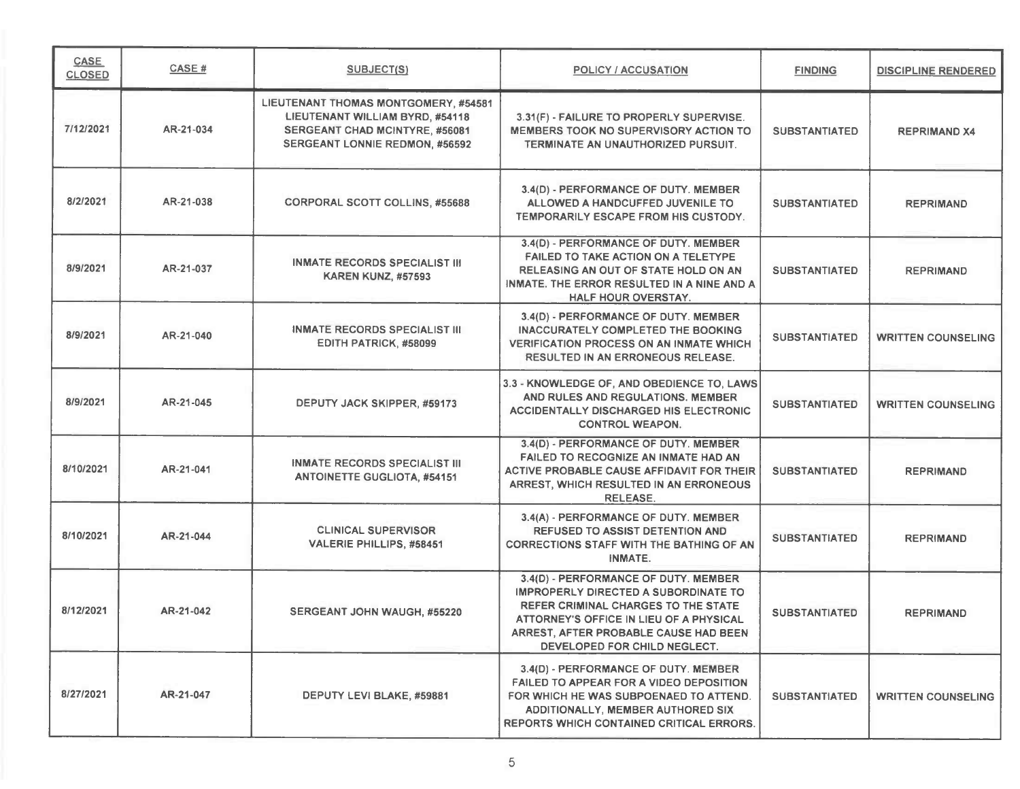| <b>CASE</b><br><b>CLOSED</b> | CASE #    | <b>SUBJECT(S)</b>                                                                                                                                         | <b>POLICY / ACCUSATION</b>                                                                                                                                                                                                                            | <b>FINDING</b>       | <b>DISCIPLINE RENDERED</b> |
|------------------------------|-----------|-----------------------------------------------------------------------------------------------------------------------------------------------------------|-------------------------------------------------------------------------------------------------------------------------------------------------------------------------------------------------------------------------------------------------------|----------------------|----------------------------|
| 7/12/2021                    | AR-21-034 | LIEUTENANT THOMAS MONTGOMERY, #54581<br>LIEUTENANT WILLIAM BYRD, #54118<br><b>SERGEANT CHAD MCINTYRE. #56081</b><br><b>SERGEANT LONNIE REDMON, #56592</b> | 3.31(F) - FAILURE TO PROPERLY SUPERVISE.<br><b>MEMBERS TOOK NO SUPERVISORY ACTION TO</b><br>TERMINATE AN UNAUTHORIZED PURSUIT.                                                                                                                        | <b>SUBSTANTIATED</b> | <b>REPRIMAND X4</b>        |
| 8/2/2021                     | AR-21-038 | <b>CORPORAL SCOTT COLLINS, #55688</b>                                                                                                                     | 3.4(D) - PERFORMANCE OF DUTY. MEMBER<br>ALLOWED A HANDCUFFED JUVENILE TO<br>TEMPORARILY ESCAPE FROM HIS CUSTODY.                                                                                                                                      | <b>SUBSTANTIATED</b> | <b>REPRIMAND</b>           |
| 8/9/2021                     | AR-21-037 | <b>INMATE RECORDS SPECIALIST III</b><br><b>KAREN KUNZ, #57593</b>                                                                                         | 3.4(D) - PERFORMANCE OF DUTY. MEMBER<br>FAILED TO TAKE ACTION ON A TELETYPE<br>RELEASING AN OUT OF STATE HOLD ON AN<br>INMATE. THE ERROR RESULTED IN A NINE AND A<br><b>HALF HOUR OVERSTAY.</b>                                                       | <b>SUBSTANTIATED</b> | <b>REPRIMAND</b>           |
| 8/9/2021                     | AR-21-040 | <b>INMATE RECORDS SPECIALIST III</b><br>EDITH PATRICK, #58099                                                                                             | 3.4(D) - PERFORMANCE OF DUTY. MEMBER<br><b>INACCURATELY COMPLETED THE BOOKING</b><br><b>VERIFICATION PROCESS ON AN INMATE WHICH</b><br><b>RESULTED IN AN ERRONEOUS RELEASE.</b>                                                                       | <b>SUBSTANTIATED</b> | <b>WRITTEN COUNSELING</b>  |
| 8/9/2021                     | AR-21-045 | DEPUTY JACK SKIPPER, #59173                                                                                                                               | 3.3 - KNOWLEDGE OF, AND OBEDIENCE TO, LAWS<br>AND RULES AND REGULATIONS, MEMBER<br><b>ACCIDENTALLY DISCHARGED HIS ELECTRONIC</b><br><b>CONTROL WEAPON.</b>                                                                                            | <b>SUBSTANTIATED</b> | <b>WRITTEN COUNSELING</b>  |
| 8/10/2021                    | AR-21-041 | INMATE RECORDS SPECIALIST III<br><b>ANTOINETTE GUGLIOTA, #54151</b>                                                                                       | 3.4(D) - PERFORMANCE OF DUTY, MEMBER<br>FAILED TO RECOGNIZE AN INMATE HAD AN<br>ACTIVE PROBABLE CAUSE AFFIDAVIT FOR THEIR<br>ARREST, WHICH RESULTED IN AN ERRONEOUS<br><b>RELEASE.</b>                                                                | <b>SUBSTANTIATED</b> | <b>REPRIMAND</b>           |
| 8/10/2021                    | AR-21-044 | <b>CLINICAL SUPERVISOR</b><br>VALERIE PHILLIPS, #58451                                                                                                    | 3.4(A) - PERFORMANCE OF DUTY. MEMBER<br><b>REFUSED TO ASSIST DETENTION AND</b><br><b>CORRECTIONS STAFF WITH THE BATHING OF AN</b><br><b>INMATE.</b>                                                                                                   | <b>SUBSTANTIATED</b> | <b>REPRIMAND</b>           |
| 8/12/2021                    | AR-21-042 | SERGEANT JOHN WAUGH, #55220                                                                                                                               | 3.4(D) - PERFORMANCE OF DUTY. MEMBER<br><b>IMPROPERLY DIRECTED A SUBORDINATE TO</b><br><b>REFER CRIMINAL CHARGES TO THE STATE</b><br>ATTORNEY'S OFFICE IN LIEU OF A PHYSICAL<br>ARREST, AFTER PROBABLE CAUSE HAD BEEN<br>DEVELOPED FOR CHILD NEGLECT. | <b>SUBSTANTIATED</b> | <b>REPRIMAND</b>           |
| 8/27/2021                    | AR-21-047 | DEPUTY LEVI BLAKE, #59881                                                                                                                                 | 3.4(D) - PERFORMANCE OF DUTY, MEMBER<br><b>FAILED TO APPEAR FOR A VIDEO DEPOSITION</b><br>FOR WHICH HE WAS SUBPOENAED TO ATTEND.<br><b>ADDITIONALLY, MEMBER AUTHORED SIX</b><br><b>REPORTS WHICH CONTAINED CRITICAL ERRORS.</b>                       | <b>SUBSTANTIATED</b> | <b>WRITTEN COUNSELING</b>  |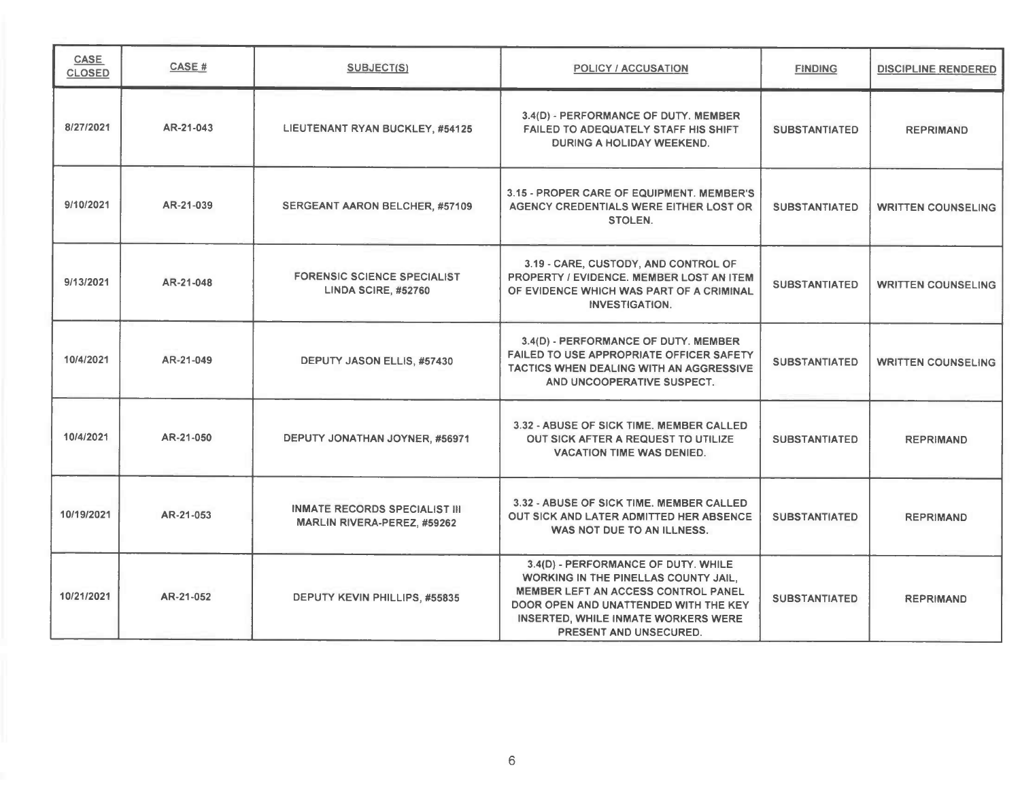| <b>CASE</b><br><b>CLOSED</b> | CASE#     | <b>SUBJECT(S)</b>                                                | POLICY / ACCUSATION                                                                                                                                                                                                                        | <b>FINDING</b>       | <b>DISCIPLINE RENDERED</b> |
|------------------------------|-----------|------------------------------------------------------------------|--------------------------------------------------------------------------------------------------------------------------------------------------------------------------------------------------------------------------------------------|----------------------|----------------------------|
| 8/27/2021                    | AR-21-043 | LIEUTENANT RYAN BUCKLEY, #54125                                  | 3.4(D) - PERFORMANCE OF DUTY. MEMBER<br>FAILED TO ADEQUATELY STAFF HIS SHIFT.<br><b>DURING A HOLIDAY WEEKEND.</b>                                                                                                                          | <b>SUBSTANTIATED</b> | <b>REPRIMAND</b>           |
| 9/10/2021                    | AR-21-039 | SERGEANT AARON BELCHER, #57109                                   | 3.15 - PROPER CARE OF EQUIPMENT. MEMBER'S<br>AGENCY CREDENTIALS WERE EITHER LOST OR<br>STOLEN.                                                                                                                                             | <b>SUBSTANTIATED</b> | <b>WRITTEN COUNSELING</b>  |
| 9/13/2021                    | AR-21-048 | <b>FORENSIC SCIENCE SPECIALIST</b><br><b>LINDA SCIRE, #52760</b> | 3.19 - CARE, CUSTODY, AND CONTROL OF<br>PROPERTY / EVIDENCE, MEMBER LOST AN ITEM<br>OF EVIDENCE WHICH WAS PART OF A CRIMINAL<br><b>INVESTIGATION.</b>                                                                                      | <b>SUBSTANTIATED</b> | <b>WRITTEN COUNSELING</b>  |
| 10/4/2021                    | AR-21-049 | DEPUTY JASON ELLIS, #57430                                       | 3.4(D) - PERFORMANCE OF DUTY. MEMBER<br><b>FAILED TO USE APPROPRIATE OFFICER SAFETY</b><br>TACTICS WHEN DEALING WITH AN AGGRESSIVE<br>AND UNCOOPERATIVE SUSPECT.                                                                           | <b>SUBSTANTIATED</b> | <b>WRITTEN COUNSELING</b>  |
| 10/4/2021                    | AR-21-050 | DEPUTY JONATHAN JOYNER, #56971                                   | 3.32 - ABUSE OF SICK TIME, MEMBER CALLED<br>OUT SICK AFTER A REQUEST TO UTILIZE<br><b>VACATION TIME WAS DENIED.</b>                                                                                                                        | <b>SUBSTANTIATED</b> | <b>REPRIMAND</b>           |
| 10/19/2021                   | AR-21-053 | INMATE RECORDS SPECIALIST III<br>MARLIN RIVERA-PEREZ, #59262     | 3.32 - ABUSE OF SICK TIME. MEMBER CALLED<br><b>OUT SICK AND LATER ADMITTED HER ABSENCE</b><br>WAS NOT DUE TO AN ILLNESS.                                                                                                                   | <b>SUBSTANTIATED</b> | <b>REPRIMAND</b>           |
| 10/21/2021                   | AR-21-052 | DEPUTY KEVIN PHILLIPS, #55835                                    | 3.4(D) - PERFORMANCE OF DUTY. WHILE<br><b>WORKING IN THE PINELLAS COUNTY JAIL.</b><br><b>MEMBER LEFT AN ACCESS CONTROL PANEL</b><br>DOOR OPEN AND UNATTENDED WITH THE KEY<br>INSERTED, WHILE INMATE WORKERS WERE<br>PRESENT AND UNSECURED. | <b>SUBSTANTIATED</b> | <b>REPRIMAND</b>           |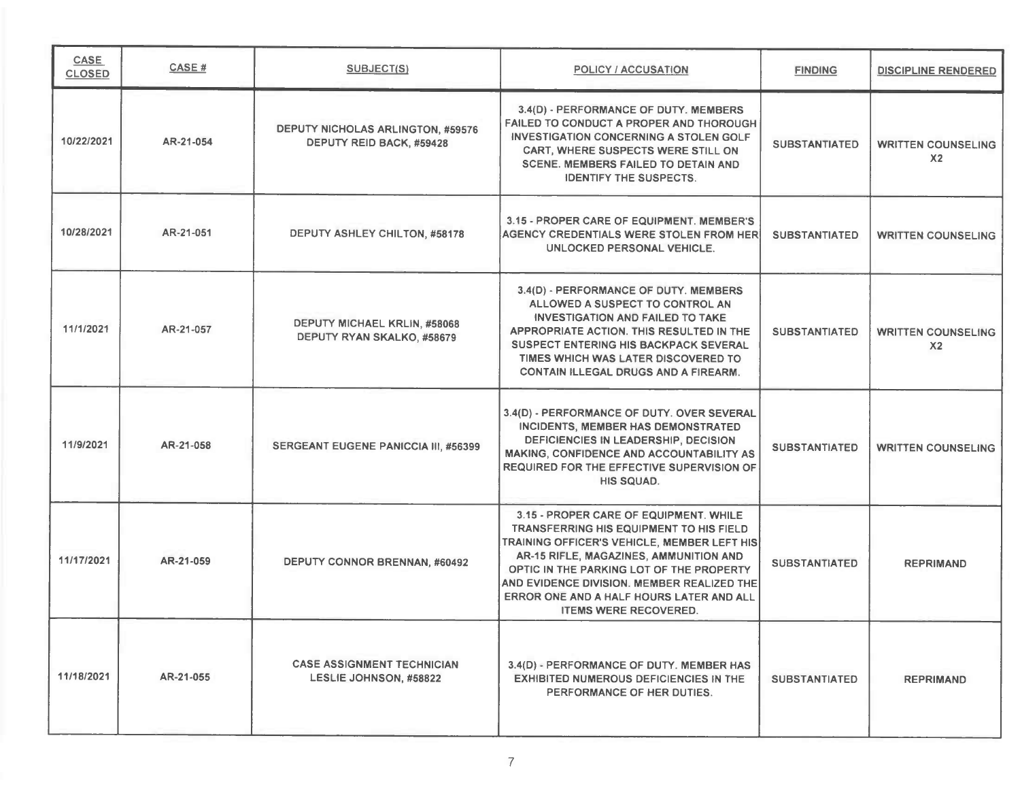| <b>CASE</b><br><b>CLOSED</b> | CASE#     | <b>SUBJECT(S)</b>                                                    | POLICY / ACCUSATION                                                                                                                                                                                                                                                                                                                                     | <b>FINDING</b>       | <b>DISCIPLINE RENDERED</b>                  |
|------------------------------|-----------|----------------------------------------------------------------------|---------------------------------------------------------------------------------------------------------------------------------------------------------------------------------------------------------------------------------------------------------------------------------------------------------------------------------------------------------|----------------------|---------------------------------------------|
| 10/22/2021                   | AR-21-054 | <b>DEPUTY NICHOLAS ARLINGTON, #59576</b><br>DEPUTY REID BACK, #59428 | 3.4(D) - PERFORMANCE OF DUTY. MEMBERS<br>FAILED TO CONDUCT A PROPER AND THOROUGH<br><b>INVESTIGATION CONCERNING A STOLEN GOLF</b><br><b>CART, WHERE SUSPECTS WERE STILL ON</b><br>SCENE. MEMBERS FAILED TO DETAIN AND<br><b>IDENTIFY THE SUSPECTS.</b>                                                                                                  | <b>SUBSTANTIATED</b> | <b>WRITTEN COUNSELING</b><br>X <sub>2</sub> |
| 10/28/2021                   | AR-21-051 | DEPUTY ASHLEY CHILTON, #58178                                        | 3.15 - PROPER CARE OF EQUIPMENT. MEMBER'S<br><b>AGENCY CREDENTIALS WERE STOLEN FROM HERI</b><br>UNLOCKED PERSONAL VEHICLE.                                                                                                                                                                                                                              | <b>SUBSTANTIATED</b> | <b>WRITTEN COUNSELING</b>                   |
| 11/1/2021                    | AR-21-057 | DEPUTY MICHAEL KRLIN, #58068<br>DEPUTY RYAN SKALKO, #58679           | 3.4(D) - PERFORMANCE OF DUTY. MEMBERS<br>ALLOWED A SUSPECT TO CONTROL AN<br><b>INVESTIGATION AND FAILED TO TAKE</b><br>APPROPRIATE ACTION. THIS RESULTED IN THE<br><b>SUSPECT ENTERING HIS BACKPACK SEVERAL</b><br>TIMES WHICH WAS LATER DISCOVERED TO<br><b>CONTAIN ILLEGAL DRUGS AND A FIREARM.</b>                                                   | <b>SUBSTANTIATED</b> | <b>WRITTEN COUNSELING</b><br>X <sub>2</sub> |
| 11/9/2021                    | AR-21-058 | <b>SERGEANT EUGENE PANICCIA III, #56399</b>                          | 3.4(D) - PERFORMANCE OF DUTY. OVER SEVERAL<br>INCIDENTS, MEMBER HAS DEMONSTRATED<br>DEFICIENCIES IN LEADERSHIP, DECISION<br>MAKING, CONFIDENCE AND ACCOUNTABILITY AS<br>REQUIRED FOR THE EFFECTIVE SUPERVISION OF<br>HIS SQUAD.                                                                                                                         | <b>SUBSTANTIATED</b> | <b>WRITTEN COUNSELING</b>                   |
| 11/17/2021                   | AR-21-059 | DEPUTY CONNOR BRENNAN, #60492                                        | 3.15 - PROPER CARE OF EQUIPMENT. WHILE<br>TRANSFERRING HIS EQUIPMENT TO HIS FIELD<br><b>TRAINING OFFICER'S VEHICLE, MEMBER LEFT HIS</b><br>AR-15 RIFLE, MAGAZINES, AMMUNITION AND<br>OPTIC IN THE PARKING LOT OF THE PROPERTY<br>AND EVIDENCE DIVISION. MEMBER REALIZED THE<br>ERROR ONE AND A HALF HOURS LATER AND ALL<br><b>ITEMS WERE RECOVERED.</b> | <b>SUBSTANTIATED</b> | <b>REPRIMAND</b>                            |
| 11/18/2021                   | AR-21-055 | <b>CASE ASSIGNMENT TECHNICIAN</b><br>LESLIE JOHNSON, #58822          | 3.4(D) - PERFORMANCE OF DUTY. MEMBER HAS<br><b>EXHIBITED NUMEROUS DEFICIENCIES IN THE</b><br>PERFORMANCE OF HER DUTIES.                                                                                                                                                                                                                                 | <b>SUBSTANTIATED</b> | <b>REPRIMAND</b>                            |